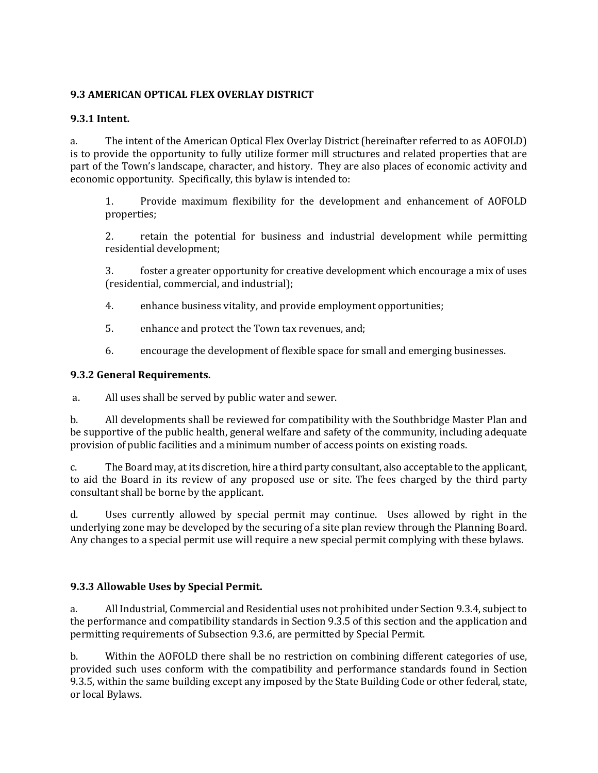# **9.3 AMERICAN OPTICAL FLEX OVERLAY DISTRICT**

## **9.3.1 Intent.**

a. The intent of the American Optical Flex Overlay District (hereinafter referred to as AOFOLD) is to provide the opportunity to fully utilize former mill structures and related properties that are part of the Town's landscape, character, and history. They are also places of economic activity and economic opportunity. Specifically, this bylaw is intended to:

1. Provide maximum flexibility for the development and enhancement of AOFOLD properties;

2. retain the potential for business and industrial development while permitting residential development;

3. foster a greater opportunity for creative development which encourage a mix of uses (residential, commercial, and industrial);

- 4. enhance business vitality, and provide employment opportunities;
- 5. enhance and protect the Town tax revenues, and;
- 6. encourage the development of flexible space for small and emerging businesses.

## **9.3.2 General Requirements.**

a. All uses shall be served by public water and sewer.

b. All developments shall be reviewed for compatibility with the Southbridge Master Plan and be supportive of the public health, general welfare and safety of the community, including adequate provision of public facilities and a minimum number of access points on existing roads.

c. The Board may, at its discretion, hire a third party consultant, also acceptable to the applicant, to aid the Board in its review of any proposed use or site. The fees charged by the third party consultant shall be borne by the applicant.

d. Uses currently allowed by special permit may continue. Uses allowed by right in the underlying zone may be developed by the securing of a site plan review through the Planning Board. Any changes to a special permit use will require a new special permit complying with these bylaws.

## **9.3.3 Allowable Uses by Special Permit.**

a. All Industrial, Commercial and Residential uses not prohibited under Section 9.3.4, subject to the performance and compatibility standards in Section 9.3.5 of this section and the application and permitting requirements of Subsection 9.3.6, are permitted by Special Permit.

b. Within the AOFOLD there shall be no restriction on combining different categories of use, provided such uses conform with the compatibility and performance standards found in Section 9.3.5, within the same building except any imposed by the State Building Code or other federal, state, or local Bylaws.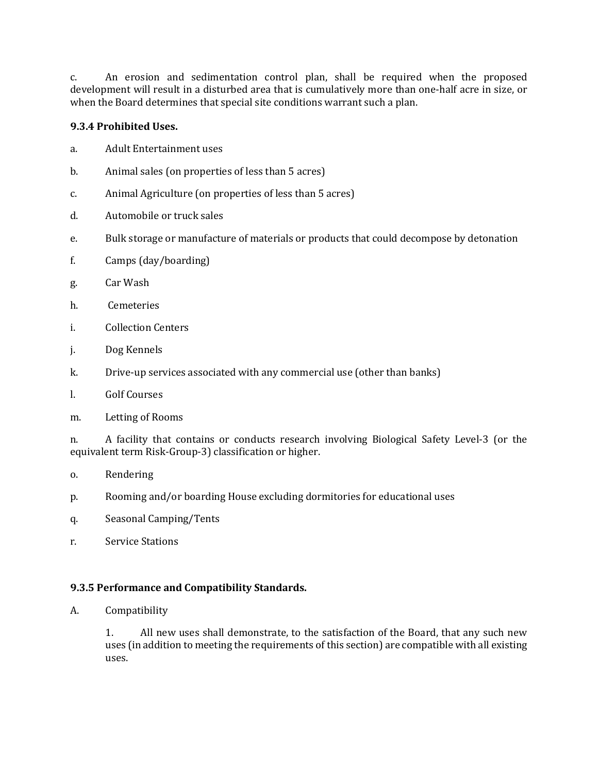c. An erosion and sedimentation control plan, shall be required when the proposed development will result in a disturbed area that is cumulatively more than one-half acre in size, or when the Board determines that special site conditions warrant such a plan.

## **9.3.4 Prohibited Uses.**

- a. Adult Entertainment uses
- b. Animal sales (on properties of less than 5 acres)
- c. Animal Agriculture (on properties of less than 5 acres)
- d. Automobile or truck sales
- e. Bulk storage or manufacture of materials or products that could decompose by detonation
- f. Camps (day/boarding)
- g. Car Wash
- h. Cemeteries
- i. Collection Centers
- j. Dog Kennels
- k. Drive-up services associated with any commercial use (other than banks)
- l. Golf Courses

#### m. Letting of Rooms

n. A facility that contains or conducts research involving Biological Safety Level-3 (or the equivalent term Risk-Group-3) classification or higher.

- o. Rendering
- p. Rooming and/or boarding House excluding dormitories for educational uses
- q. Seasonal Camping/Tents
- r. Service Stations

## **9.3.5 Performance and Compatibility Standards.**

A. Compatibility

1. All new uses shall demonstrate, to the satisfaction of the Board, that any such new uses (in addition to meeting the requirements of this section) are compatible with all existing uses.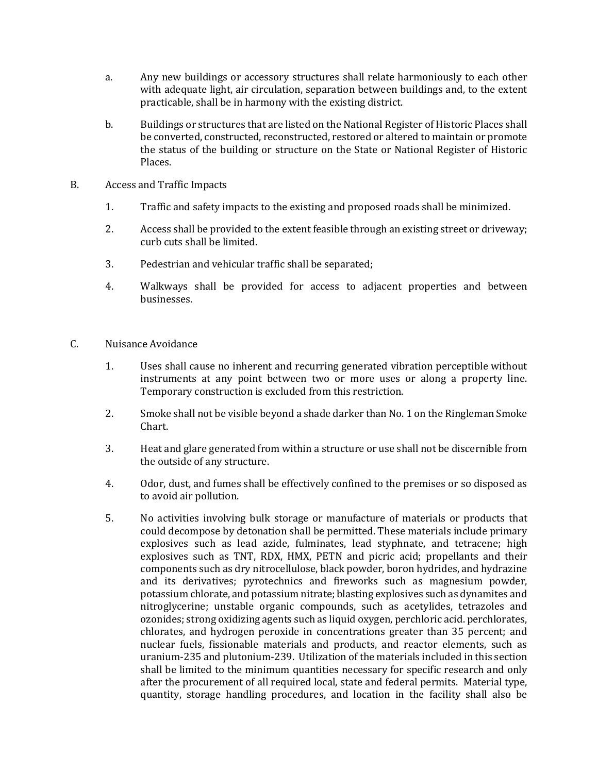- a. Any new buildings or accessory structures shall relate harmoniously to each other with adequate light, air circulation, separation between buildings and, to the extent practicable, shall be in harmony with the existing district.
- b. Buildings or structures that are listed on the National Register of Historic Places shall be converted, constructed, reconstructed, restored or altered to maintain or promote the status of the building or structure on the State or National Register of Historic Places.
- B. Access and Traffic Impacts
	- 1. Traffic and safety impacts to the existing and proposed roads shall be minimized.
	- 2. Access shall be provided to the extent feasible through an existing street or driveway; curb cuts shall be limited.
	- 3. Pedestrian and vehicular traffic shall be separated;
	- 4. Walkways shall be provided for access to adjacent properties and between businesses.
- C. Nuisance Avoidance
	- 1. Uses shall cause no inherent and recurring generated vibration perceptible without instruments at any point between two or more uses or along a property line. Temporary construction is excluded from this restriction.
	- 2. Smoke shall not be visible beyond a shade darker than No. 1 on the Ringleman Smoke Chart.
	- 3. Heat and glare generated from within a structure or use shall not be discernible from the outside of any structure.
	- 4. Odor, dust, and fumes shall be effectively confined to the premises or so disposed as to avoid air pollution.
	- 5. No activities involving bulk storage or manufacture of materials or products that could decompose by detonation shall be permitted. These materials include primary explosives such as lead azide, fulminates, lead styphnate, and tetracene; high explosives such as TNT, RDX, HMX, PETN and picric acid; propellants and their components such as dry nitrocellulose, black powder, boron hydrides, and hydrazine and its derivatives; pyrotechnics and fireworks such as magnesium powder, potassium chlorate, and potassium nitrate; blasting explosives such as dynamites and nitroglycerine; unstable organic compounds, such as acetylides, tetrazoles and ozonides; strong oxidizing agents such as liquid oxygen, perchloric acid. perchlorates, chlorates, and hydrogen peroxide in concentrations greater than 35 percent; and nuclear fuels, fissionable materials and products, and reactor elements, such as uranium-235 and plutonium-239. Utilization of the materials included in this section shall be limited to the minimum quantities necessary for specific research and only after the procurement of all required local, state and federal permits. Material type, quantity, storage handling procedures, and location in the facility shall also be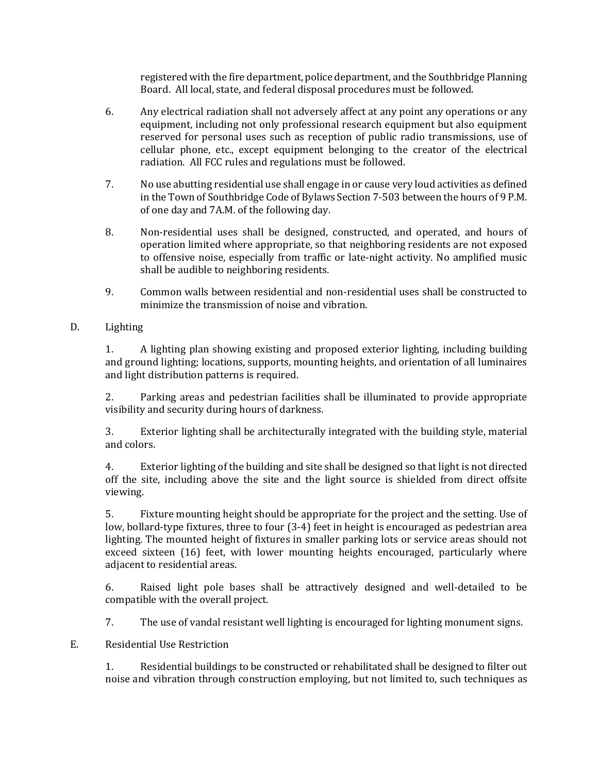registered with the fire department, police department, and the Southbridge Planning Board. All local, state, and federal disposal procedures must be followed.

- 6. Any electrical radiation shall not adversely affect at any point any operations or any equipment, including not only professional research equipment but also equipment reserved for personal uses such as reception of public radio transmissions, use of cellular phone, etc., except equipment belonging to the creator of the electrical radiation. All FCC rules and regulations must be followed.
- 7. No use abutting residential use shall engage in or cause very loud activities as defined in the Town of Southbridge Code of Bylaws Section 7-503 between the hours of 9 P.M. of one day and 7A.M. of the following day.
- 8. Non-residential uses shall be designed, constructed, and operated, and hours of operation limited where appropriate, so that neighboring residents are not exposed to offensive noise, especially from traffic or late-night activity. No amplified music shall be audible to neighboring residents.
- 9. Common walls between residential and non-residential uses shall be constructed to minimize the transmission of noise and vibration.
- D. Lighting

1. A lighting plan showing existing and proposed exterior lighting, including building and ground lighting; locations, supports, mounting heights, and orientation of all luminaires and light distribution patterns is required.

2. Parking areas and pedestrian facilities shall be illuminated to provide appropriate visibility and security during hours of darkness.

3. Exterior lighting shall be architecturally integrated with the building style, material and colors.

4. Exterior lighting of the building and site shall be designed so that light is not directed off the site, including above the site and the light source is shielded from direct offsite viewing.

5. Fixture mounting height should be appropriate for the project and the setting. Use of low, bollard-type fixtures, three to four (3-4) feet in height is encouraged as pedestrian area lighting. The mounted height of fixtures in smaller parking lots or service areas should not exceed sixteen (16) feet, with lower mounting heights encouraged, particularly where adjacent to residential areas.

6. Raised light pole bases shall be attractively designed and well-detailed to be compatible with the overall project.

7. The use of vandal resistant well lighting is encouraged for lighting monument signs.

E. Residential Use Restriction

1. Residential buildings to be constructed or rehabilitated shall be designed to filter out noise and vibration through construction employing, but not limited to, such techniques as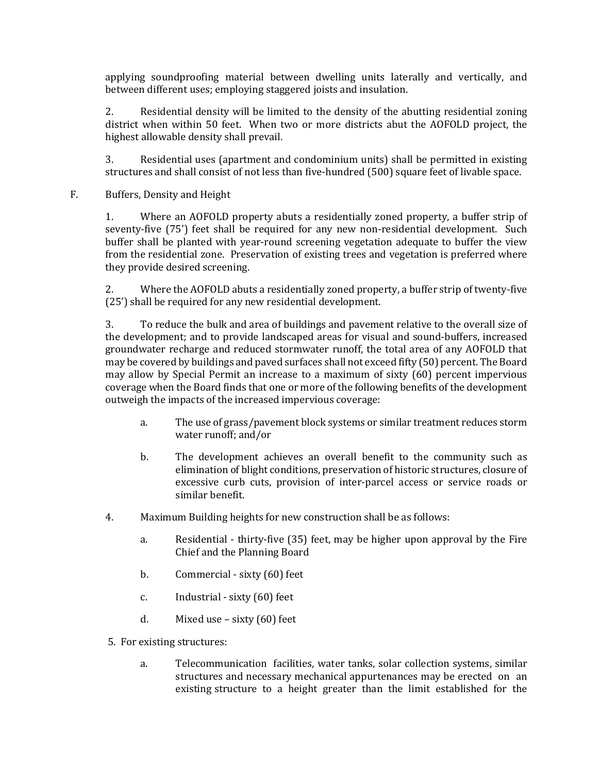applying soundproofing material between dwelling units laterally and vertically, and between different uses; employing staggered joists and insulation.

2. Residential density will be limited to the density of the abutting residential zoning district when within 50 feet. When two or more districts abut the AOFOLD project, the highest allowable density shall prevail.

3. Residential uses (apartment and condominium units) shall be permitted in existing structures and shall consist of not less than five-hundred (500) square feet of livable space.

F. Buffers, Density and Height

1. Where an AOFOLD property abuts a residentially zoned property, a buffer strip of seventy-five (75') feet shall be required for any new non-residential development. Such buffer shall be planted with year-round screening vegetation adequate to buffer the view from the residential zone. Preservation of existing trees and vegetation is preferred where they provide desired screening.

2. Where the AOFOLD abuts a residentially zoned property, a buffer strip of twenty-five (25') shall be required for any new residential development.

3. To reduce the bulk and area of buildings and pavement relative to the overall size of the development; and to provide landscaped areas for visual and sound-buffers, increased groundwater recharge and reduced stormwater runoff, the total area of any AOFOLD that may be covered by buildings and paved surfaces shall not exceed fifty (50) percent. The Board may allow by Special Permit an increase to a maximum of sixty (60) percent impervious coverage when the Board finds that one or more of the following benefits of the development outweigh the impacts of the increased impervious coverage:

- a. The use of grass/pavement block systems or similar treatment reduces storm water runoff; and/or
- b. The development achieves an overall benefit to the community such as elimination of blight conditions, preservation of historic structures, closure of excessive curb cuts, provision of inter-parcel access or service roads or similar benefit.
- 4. Maximum Building heights for new construction shall be as follows:
	- a. Residential thirty-five (35) feet, may be higher upon approval by the Fire Chief and the Planning Board
	- b. Commercial sixty (60) feet
	- c. Industrial sixty (60) feet
	- d. Mixed use sixty (60) feet
- 5. For existing structures:
	- a. Telecommunication facilities, water tanks, solar collection systems, similar structures and necessary mechanical appurtenances may be erected on an existing structure to a height greater than the limit established for the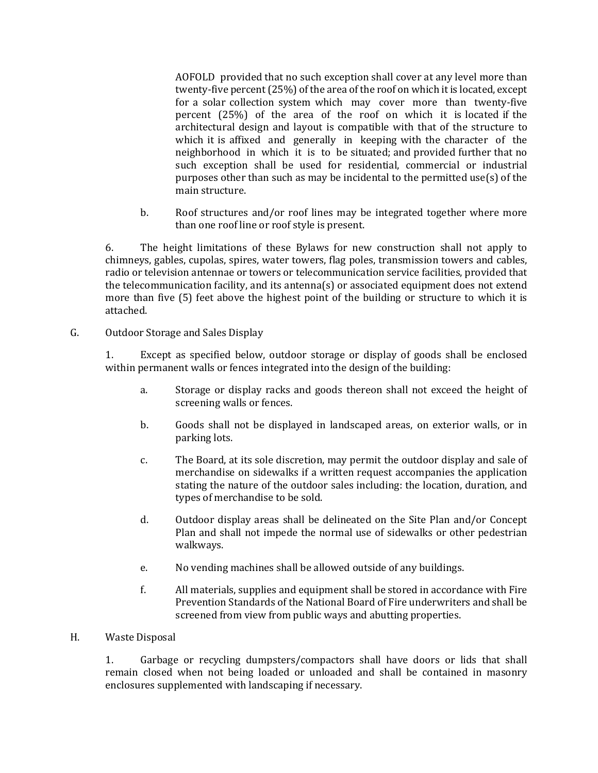AOFOLD provided that no such exception shall cover at any level more than twenty-five percent (25%) of the area of the roof on which it is located, except for a solar collection system which may cover more than twenty-five percent (25%) of the area of the roof on which it is located if the architectural design and layout is compatible with that of the structure to which it is affixed and generally in keeping with the character of the neighborhood in which it is to be situated; and provided further that no such exception shall be used for residential, commercial or industrial purposes other than such as may be incidental to the permitted use(s) of the main structure.

b. Roof structures and/or roof lines may be integrated together where more than one roof line or roof style is present.

6. The height limitations of these Bylaws for new construction shall not apply to chimneys, gables, cupolas, spires, water towers, flag poles, transmission towers and cables, radio or television antennae or towers or telecommunication service facilities, provided that the telecommunication facility, and its antenna(s) or associated equipment does not extend more than five (5) feet above the highest point of the building or structure to which it is attached.

### G. Outdoor Storage and Sales Display

1. Except as specified below, outdoor storage or display of goods shall be enclosed within permanent walls or fences integrated into the design of the building:

- a. Storage or display racks and goods thereon shall not exceed the height of screening walls or fences.
- b. Goods shall not be displayed in landscaped areas, on exterior walls, or in parking lots.
- c. The Board, at its sole discretion, may permit the outdoor display and sale of merchandise on sidewalks if a written request accompanies the application stating the nature of the outdoor sales including: the location, duration, and types of merchandise to be sold.
- d. Outdoor display areas shall be delineated on the Site Plan and/or Concept Plan and shall not impede the normal use of sidewalks or other pedestrian walkways.
- e. No vending machines shall be allowed outside of any buildings.
- f. All materials, supplies and equipment shall be stored in accordance with Fire Prevention Standards of the National Board of Fire underwriters and shall be screened from view from public ways and abutting properties.
- H. Waste Disposal

1. Garbage or recycling dumpsters/compactors shall have doors or lids that shall remain closed when not being loaded or unloaded and shall be contained in masonry enclosures supplemented with landscaping if necessary.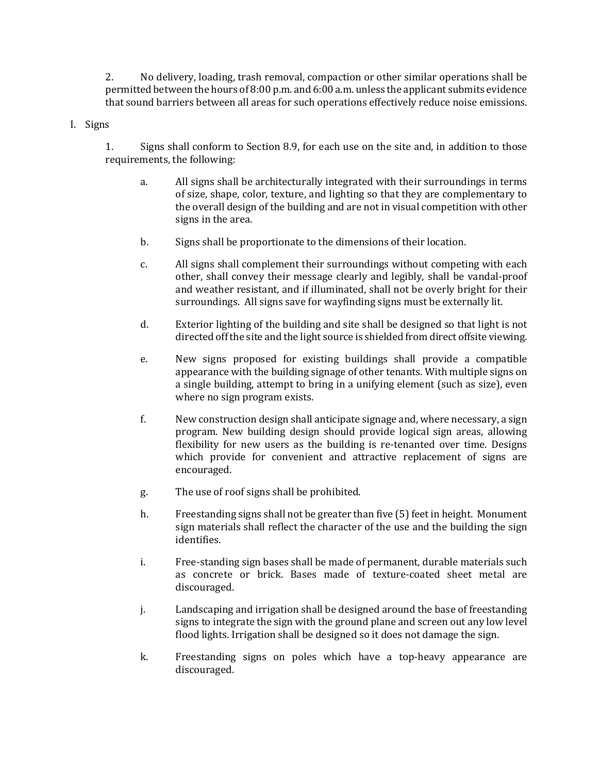2. No delivery, loading, trash removal, compaction or other similar operations shall be permitted between the hours of 8:00 p.m. and 6:00 a.m. unless the applicant submits evidence that sound barriers between all areas for such operations effectively reduce noise emissions.

#### I. Signs

1. Signs shall conform to Section 8.9, for each use on the site and, in addition to those requirements, the following:

- a. All signs shall be architecturally integrated with their surroundings in terms of size, shape, color, texture, and lighting so that they are complementary to the overall design of the building and are not in visual competition with other signs in the area.
- b. Signs shall be proportionate to the dimensions of their location.
- c. All signs shall complement their surroundings without competing with each other, shall convey their message clearly and legibly, shall be vandal-proof and weather resistant, and if illuminated, shall not be overly bright for their surroundings. All signs save for wayfinding signs must be externally lit.
- d. Exterior lighting of the building and site shall be designed so that light is not directed off the site and the light source is shielded from direct offsite viewing.
- e. New signs proposed for existing buildings shall provide a compatible appearance with the building signage of other tenants. With multiple signs on a single building, attempt to bring in a unifying element (such as size), even where no sign program exists.
- f. New construction design shall anticipate signage and, where necessary, a sign program. New building design should provide logical sign areas, allowing flexibility for new users as the building is re-tenanted over time. Designs which provide for convenient and attractive replacement of signs are encouraged.
- g. The use of roof signs shall be prohibited.
- h. Freestanding signs shall not be greater than five (5) feet in height. Monument sign materials shall reflect the character of the use and the building the sign identifies.
- i. Free-standing sign bases shall be made of permanent, durable materials such as concrete or brick. Bases made of texture-coated sheet metal are discouraged.
- j. Landscaping and irrigation shall be designed around the base of freestanding signs to integrate the sign with the ground plane and screen out any low level flood lights. Irrigation shall be designed so it does not damage the sign.
- k. Freestanding signs on poles which have a top-heavy appearance are discouraged.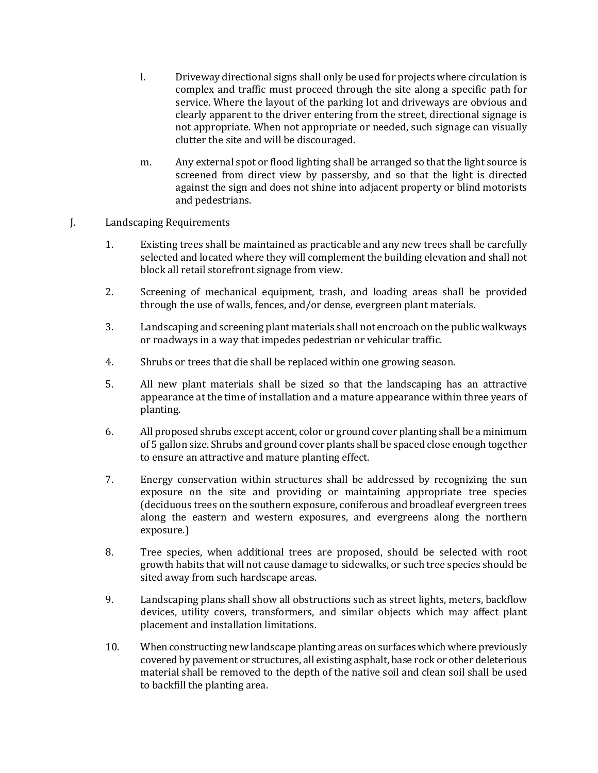- l. Driveway directional signs shall only be used for projects where circulation is complex and traffic must proceed through the site along a specific path for service. Where the layout of the parking lot and driveways are obvious and clearly apparent to the driver entering from the street, directional signage is not appropriate. When not appropriate or needed, such signage can visually clutter the site and will be discouraged.
- m. Any external spot or flood lighting shall be arranged so that the light source is screened from direct view by passersby, and so that the light is directed against the sign and does not shine into adjacent property or blind motorists and pedestrians.

## J. Landscaping Requirements

- 1. Existing trees shall be maintained as practicable and any new trees shall be carefully selected and located where they will complement the building elevation and shall not block all retail storefront signage from view.
- 2. Screening of mechanical equipment, trash, and loading areas shall be provided through the use of walls, fences, and/or dense, evergreen plant materials.
- 3. Landscaping and screening plant materials shall not encroach on the public walkways or roadways in a way that impedes pedestrian or vehicular traffic.
- 4. Shrubs or trees that die shall be replaced within one growing season.
- 5. All new plant materials shall be sized so that the landscaping has an attractive appearance at the time of installation and a mature appearance within three years of planting.
- 6. All proposed shrubs except accent, color or ground cover planting shall be a minimum of 5 gallon size. Shrubs and ground cover plants shall be spaced close enough together to ensure an attractive and mature planting effect.
- 7. Energy conservation within structures shall be addressed by recognizing the sun exposure on the site and providing or maintaining appropriate tree species (deciduous trees on the southern exposure, coniferous and broadleaf evergreen trees along the eastern and western exposures, and evergreens along the northern exposure.)
- 8. Tree species, when additional trees are proposed, should be selected with root growth habits that will not cause damage to sidewalks, or such tree species should be sited away from such hardscape areas.
- 9. Landscaping plans shall show all obstructions such as street lights, meters, backflow devices, utility covers, transformers, and similar objects which may affect plant placement and installation limitations.
- 10. When constructing new landscape planting areas on surfaces which where previously covered by pavement or structures, all existing asphalt, base rock or other deleterious material shall be removed to the depth of the native soil and clean soil shall be used to backfill the planting area.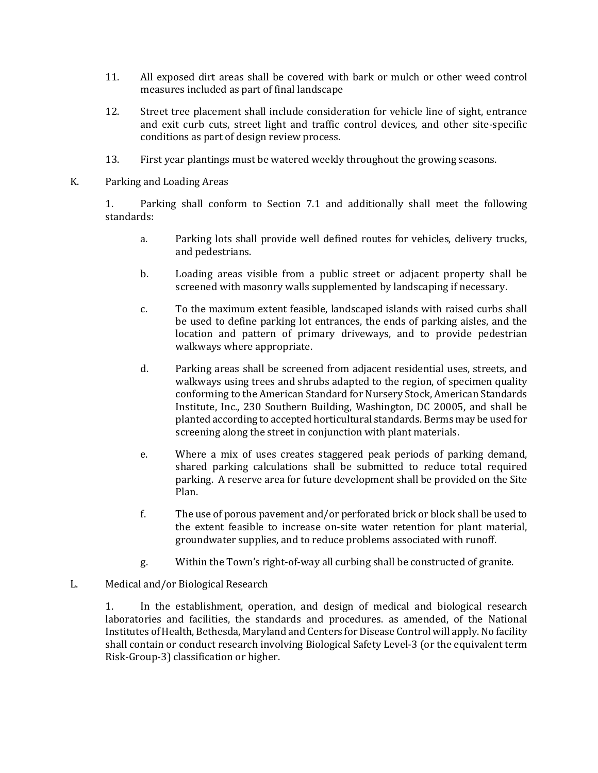- 11. All exposed dirt areas shall be covered with bark or mulch or other weed control measures included as part of final landscape
- 12. Street tree placement shall include consideration for vehicle line of sight, entrance and exit curb cuts, street light and traffic control devices, and other site-specific conditions as part of design review process.
- 13. First year plantings must be watered weekly throughout the growing seasons.
- K. Parking and Loading Areas

1. Parking shall conform to Section 7.1 and additionally shall meet the following standards:

- a. Parking lots shall provide well defined routes for vehicles, delivery trucks, and pedestrians.
- b. Loading areas visible from a public street or adjacent property shall be screened with masonry walls supplemented by landscaping if necessary.
- c. To the maximum extent feasible, landscaped islands with raised curbs shall be used to define parking lot entrances, the ends of parking aisles, and the location and pattern of primary driveways, and to provide pedestrian walkways where appropriate.
- d. Parking areas shall be screened from adjacent residential uses, streets, and walkways using trees and shrubs adapted to the region, of specimen quality conforming to the American Standard for Nursery Stock, American Standards Institute, Inc., 230 Southern Building, Washington, DC 20005, and shall be planted according to accepted horticultural standards. Berms may be used for screening along the street in conjunction with plant materials.
- e. Where a mix of uses creates staggered peak periods of parking demand, shared parking calculations shall be submitted to reduce total required parking. A reserve area for future development shall be provided on the Site Plan.
- f. The use of porous pavement and/or perforated brick or block shall be used to the extent feasible to increase on-site water retention for plant material, groundwater supplies, and to reduce problems associated with runoff.
- g. Within the Town's right-of-way all curbing shall be constructed of granite.
- L. Medical and/or Biological Research

1. In the establishment, operation, and design of medical and biological research laboratories and facilities, the standards and procedures. as amended, of the National Institutes of Health, Bethesda, Maryland and Centers for Disease Control will apply. No facility shall contain or conduct research involving Biological Safety Level-3 (or the equivalent term Risk-Group-3) classification or higher.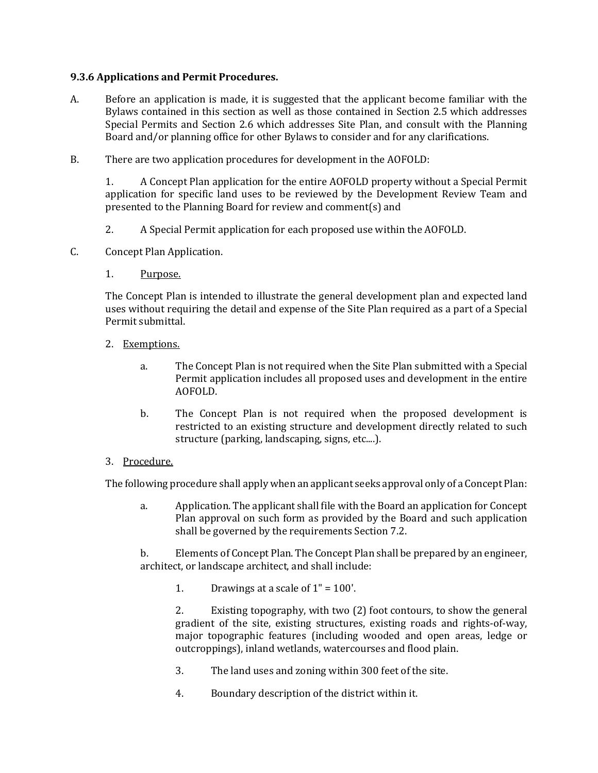### **9.3.6 Applications and Permit Procedures.**

- A. Before an application is made, it is suggested that the applicant become familiar with the Bylaws contained in this section as well as those contained in Section 2.5 which addresses Special Permits and Section 2.6 which addresses Site Plan, and consult with the Planning Board and/or planning office for other Bylaws to consider and for any clarifications.
- B. There are two application procedures for development in the AOFOLD:

1. A Concept Plan application for the entire AOFOLD property without a Special Permit application for specific land uses to be reviewed by the Development Review Team and presented to the Planning Board for review and comment(s) and

- 2. A Special Permit application for each proposed use within the AOFOLD.
- C. Concept Plan Application.
	- 1. Purpose.

The Concept Plan is intended to illustrate the general development plan and expected land uses without requiring the detail and expense of the Site Plan required as a part of a Special Permit submittal.

- 2. Exemptions.
	- a. The Concept Plan is not required when the Site Plan submitted with a Special Permit application includes all proposed uses and development in the entire AOFOLD.
	- b. The Concept Plan is not required when the proposed development is restricted to an existing structure and development directly related to such structure (parking, landscaping, signs, etc....).
- 3. Procedure.

The following procedure shall apply when an applicant seeks approval only of a Concept Plan:

a. Application. The applicant shall file with the Board an application for Concept Plan approval on such form as provided by the Board and such application shall be governed by the requirements Section 7.2.

b. Elements of Concept Plan. The Concept Plan shall be prepared by an engineer, architect, or landscape architect, and shall include:

1. Drawings at a scale of  $1" = 100'$ .

2. Existing topography, with two (2) foot contours, to show the general gradient of the site, existing structures, existing roads and rights-of-way, major topographic features (including wooded and open areas, ledge or outcroppings), inland wetlands, watercourses and flood plain.

- 3. The land uses and zoning within 300 feet of the site.
- 4. Boundary description of the district within it.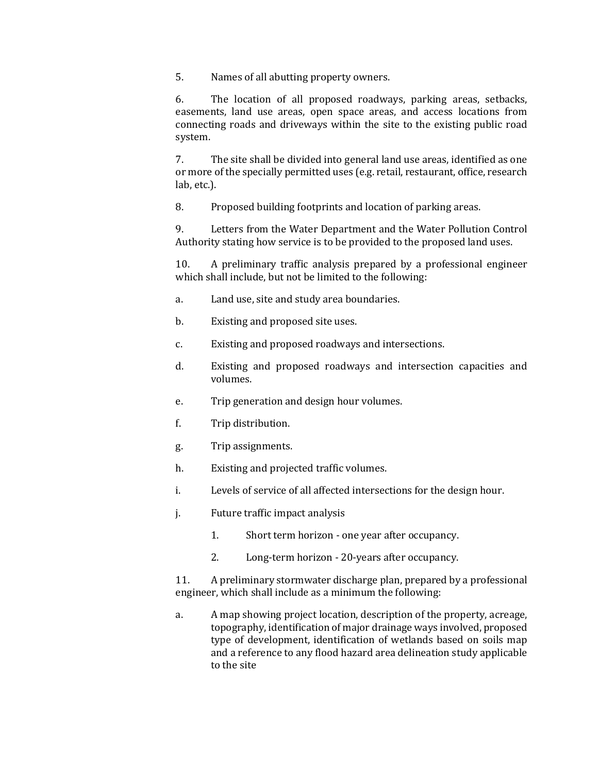5. Names of all abutting property owners.

6. The location of all proposed roadways, parking areas, setbacks, easements, land use areas, open space areas, and access locations from connecting roads and driveways within the site to the existing public road system.

7. The site shall be divided into general land use areas, identified as one or more of the specially permitted uses (e.g. retail, restaurant, office, research lab, etc.).

8. Proposed building footprints and location of parking areas.

9. Letters from the Water Department and the Water Pollution Control Authority stating how service is to be provided to the proposed land uses.

10. A preliminary traffic analysis prepared by a professional engineer which shall include, but not be limited to the following:

- a. Land use, site and study area boundaries.
- b. Existing and proposed site uses.
- c. Existing and proposed roadways and intersections.
- d. Existing and proposed roadways and intersection capacities and volumes.
- e. Trip generation and design hour volumes.
- f. Trip distribution.
- g. Trip assignments.
- h. Existing and projected traffic volumes.
- i. Levels of service of all affected intersections for the design hour.
- j. Future traffic impact analysis
	- 1. Short term horizon one year after occupancy.
	- 2. Long-term horizon 20-years after occupancy.

11. A preliminary stormwater discharge plan, prepared by a professional engineer, which shall include as a minimum the following:

a. A map showing project location, description of the property, acreage, topography, identification of major drainage ways involved, proposed type of development, identification of wetlands based on soils map and a reference to any flood hazard area delineation study applicable to the site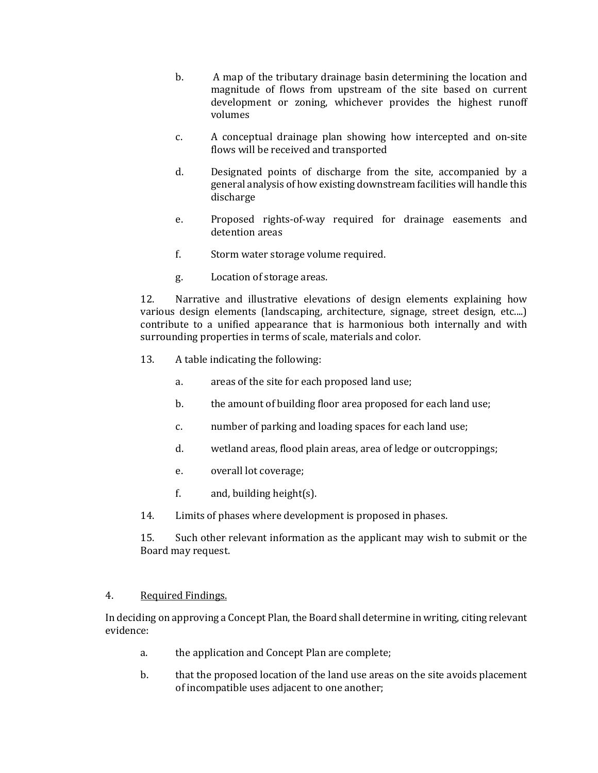- b. A map of the tributary drainage basin determining the location and magnitude of flows from upstream of the site based on current development or zoning, whichever provides the highest runoff volumes
- c. A conceptual drainage plan showing how intercepted and on-site flows will be received and transported
- d. Designated points of discharge from the site, accompanied by a general analysis of how existing downstream facilities will handle this discharge
- e. Proposed rights-of-way required for drainage easements and detention areas
- f. Storm water storage volume required.
- g. Location of storage areas.

12. Narrative and illustrative elevations of design elements explaining how various design elements (landscaping, architecture, signage, street design, etc....) contribute to a unified appearance that is harmonious both internally and with surrounding properties in terms of scale, materials and color.

- 13. A table indicating the following:
	- a. areas of the site for each proposed land use;
	- b. the amount of building floor area proposed for each land use;
	- c. number of parking and loading spaces for each land use;
	- d. wetland areas, flood plain areas, area of ledge or outcroppings;
	- e. overall lot coverage;
	- f. and, building height(s).
- 14. Limits of phases where development is proposed in phases.

15. Such other relevant information as the applicant may wish to submit or the Board may request.

#### 4. Required Findings.

In deciding on approving a Concept Plan, the Board shall determine in writing, citing relevant evidence:

- a. the application and Concept Plan are complete;
- b. that the proposed location of the land use areas on the site avoids placement of incompatible uses adjacent to one another;